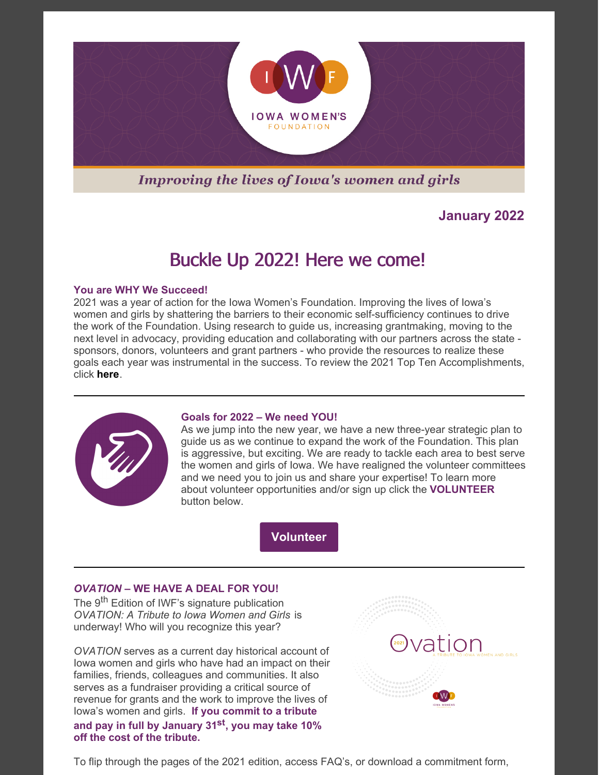

## **Improving the lives of Iowa's women and girls**

## **January 2022**

# Buckle Up 2022! Here we come!

#### **You are WHY We Succeed!**

2021 was a year of action for the Iowa Women's Foundation. Improving the lives of Iowa's women and girls by shattering the barriers to their economic self-sufficiency continues to drive the work of the Foundation. Using research to guide us, increasing grantmaking, moving to the next level in advocacy, providing education and collaborating with our partners across the state sponsors, donors, volunteers and grant partners - who provide the resources to realize these goals each year was instrumental in the success. To review the 2021 Top Ten Accomplishments, click **[here](https://iawf.org/wp-content/uploads/2022/01/2021-Top-10-Accomplishments.pdf)**.



#### **Goals for 2022 – We need YOU!**

As we jump into the new year, we have a new three-year strategic plan to guide us as we continue to expand the work of the Foundation. This plan is aggressive, but exciting. We are ready to tackle each area to best serve the women and girls of Iowa. We have realigned the volunteer committees and we need you to join us and share your expertise! To learn more about volunteer opportunities and/or sign up click the **VOLUNTEER** button below.



### *OVATION* **– WE HAVE A DEAL FOR YOU!**

The 9<sup>th</sup> Edition of IWF's signature publication *OVATION: A Tribute to Iowa Women and Girls* is underway! Who will you recognize this year?

*OVATION* serves as a current day historical account of Iowa women and girls who have had an impact on their families, friends, colleagues and communities. It also serves as a fundraiser providing a critical source of revenue for grants and the work to improve the lives of Iowa's women and girls. **If you commit to a tribute and pay in full by January 31 st , you may take 10% off the cost of the tribute.**



To flip through the pages of the 2021 edition, access FAQ's, or download a commitment form,